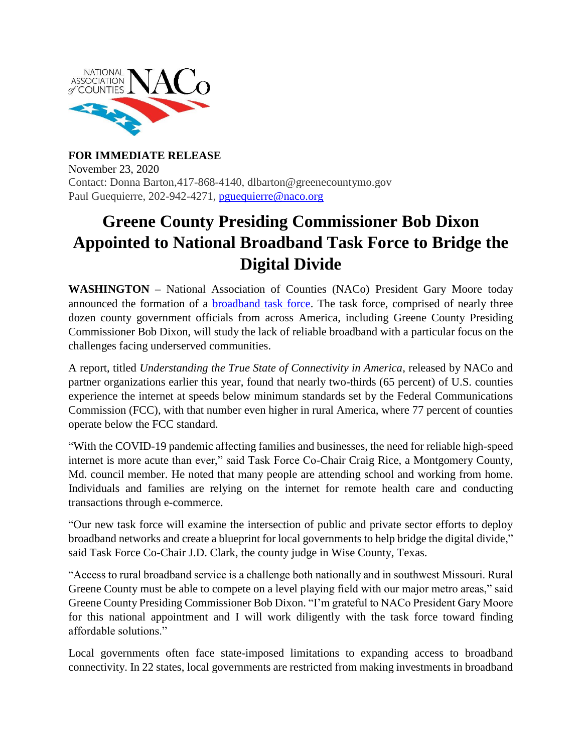

**FOR IMMEDIATE RELEASE** November 23, 2020 Contact: Donna Barton,417-868-4140, dlbarton@greenecountymo.gov Paul Guequierre, 202-942-4271, [pguequierre@naco.org](mailto:pguequierre@naco.org)

## **Greene County Presiding Commissioner Bob Dixon Appointed to National Broadband Task Force to Bridge the Digital Divide**

**WASHINGTON –** National Association of Counties (NACo) President Gary Moore today announced the formation of a [broadband task force.](https://www.naco.org/broadbandtaskforce) The task force, comprised of nearly three dozen county government officials from across America, including Greene County Presiding Commissioner Bob Dixon, will study the lack of reliable broadband with a particular focus on the challenges facing underserved communities.

A report, titled *Understanding the True State of Connectivity in America*, released by NACo and partner organizations earlier this year, found that nearly two-thirds (65 percent) of U.S. counties experience the internet at speeds below minimum standards set by the Federal Communications Commission (FCC), with that number even higher in rural America, where 77 percent of counties operate below the FCC standard.

"With the COVID-19 pandemic affecting families and businesses, the need for reliable high-speed internet is more acute than ever," said Task Force Co-Chair Craig Rice, a Montgomery County, Md. council member. He noted that many people are attending school and working from home. Individuals and families are relying on the internet for remote health care and conducting transactions through e-commerce.

"Our new task force will examine the intersection of public and private sector efforts to deploy broadband networks and create a blueprint for local governments to help bridge the digital divide," said Task Force Co-Chair J.D. Clark, the county judge in Wise County, Texas.

"Access to rural broadband service is a challenge both nationally and in southwest Missouri. Rural Greene County must be able to compete on a level playing field with our major metro areas," said Greene County Presiding Commissioner Bob Dixon. "I'm grateful to NACo President Gary Moore for this national appointment and I will work diligently with the task force toward finding affordable solutions."

Local governments often face state-imposed limitations to expanding access to broadband connectivity. In 22 states, local governments are restricted from making investments in broadband